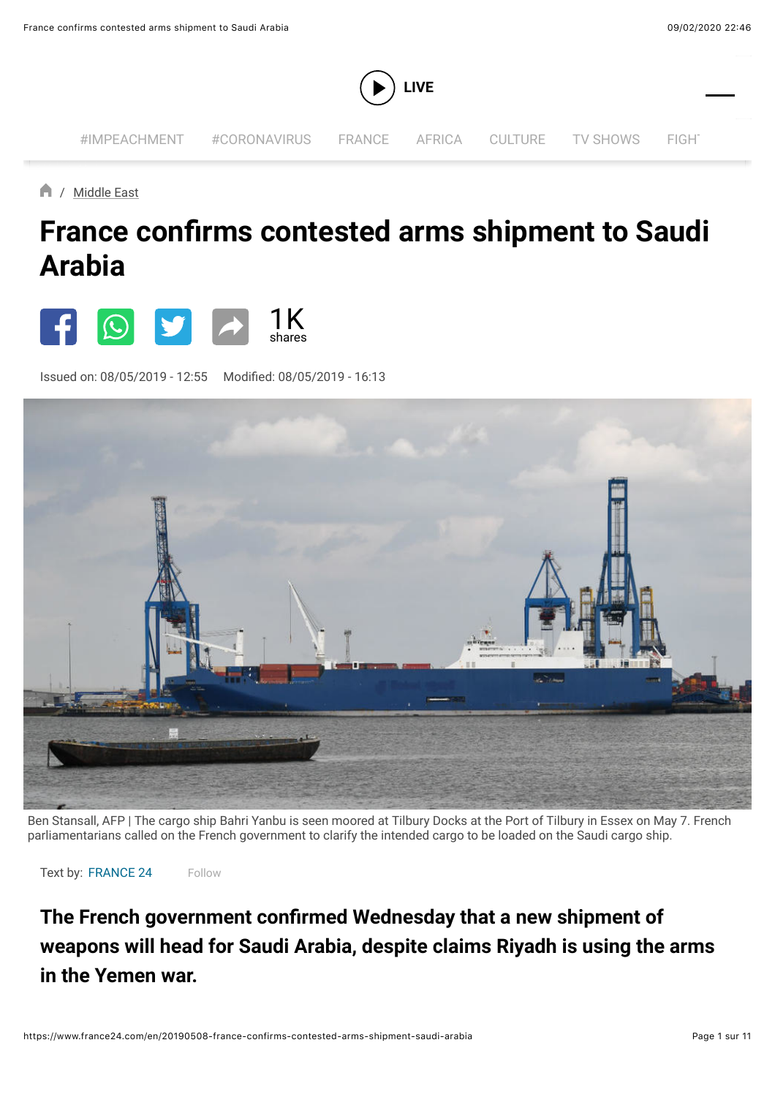

/ [Middle East](https://www.france24.com/en/tag/middle-east/)

## **France confirms contested arms shipment to Saudi Arabia**



Issued on: 08/05/2019 - 12:55 Modified: 08/05/2019 - 16:13 ON SOCIAL MEDIA



Ben Stansall, AFP | The cargo ship Bahri Yanbu is seen moored at Tilbury Docks at the Port of Tilbury in Essex on May 7. French parliamentarians called on the French government to clarify the intended cargo to be loaded on the Saudi cargo ship.

Text by: [FRANCE 24](https://www.france24.com/en/france-24-1) [Follow](https://twitter.com/intent/follow?screen_name=France24_en)

**The French government confirmed Wednesday that a new shipment of weapons will head for Saudi Arabia, despite claims Riyadh is using the arms in the Yemen war.**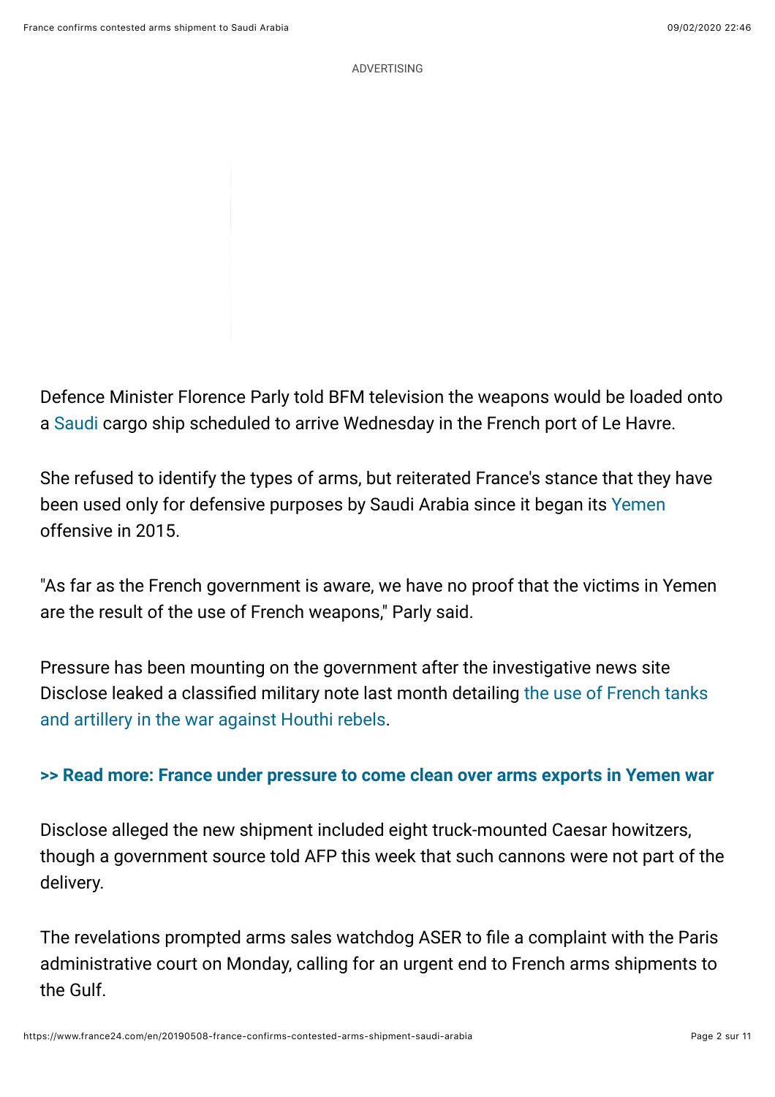Defence Minister Florence Parly told BFM television the weapons would be loaded onto a [Saudi](https://www.france24.com/en/tag/saudi-arabia/) cargo ship scheduled to arrive Wednesday in the French port of Le Havre.

She refused to identify the types of arms, but reiterated France's stance that they have been used only for defensive purposes by Saudi Arabia since it began its [Yemen](https://www.france24.com/en/tag/yemen/) offensive in 2015.

"As far as the French government is aware, we have no proof that the victims in Yemen are the result of the use of French weapons," Parly said.

Pressure has been mounting on the government after the investigative news site Disclose leaked a classifi[ed military note last month detailing the use of French tanks](https://www.france24.com/en/20190420-france-arms-exports-yemen-saudi-uae-khashoggi-disclose) and artillery in the war against Houthi rebels.

## **[>> Read more: France under pressure to come clean over arms exports in Yemen war](https://www.france24.com/en/20190420-france-arms-exports-yemen-saudi-uae-khashoggi-disclose)**

Disclose alleged the new shipment included eight truck-mounted Caesar howitzers, though a government source told AFP this week that such cannons were not part of the delivery.

The revelations prompted arms sales watchdog ASER to file a complaint with the Paris administrative court on Monday, calling for an urgent end to French arms shipments to the Gulf.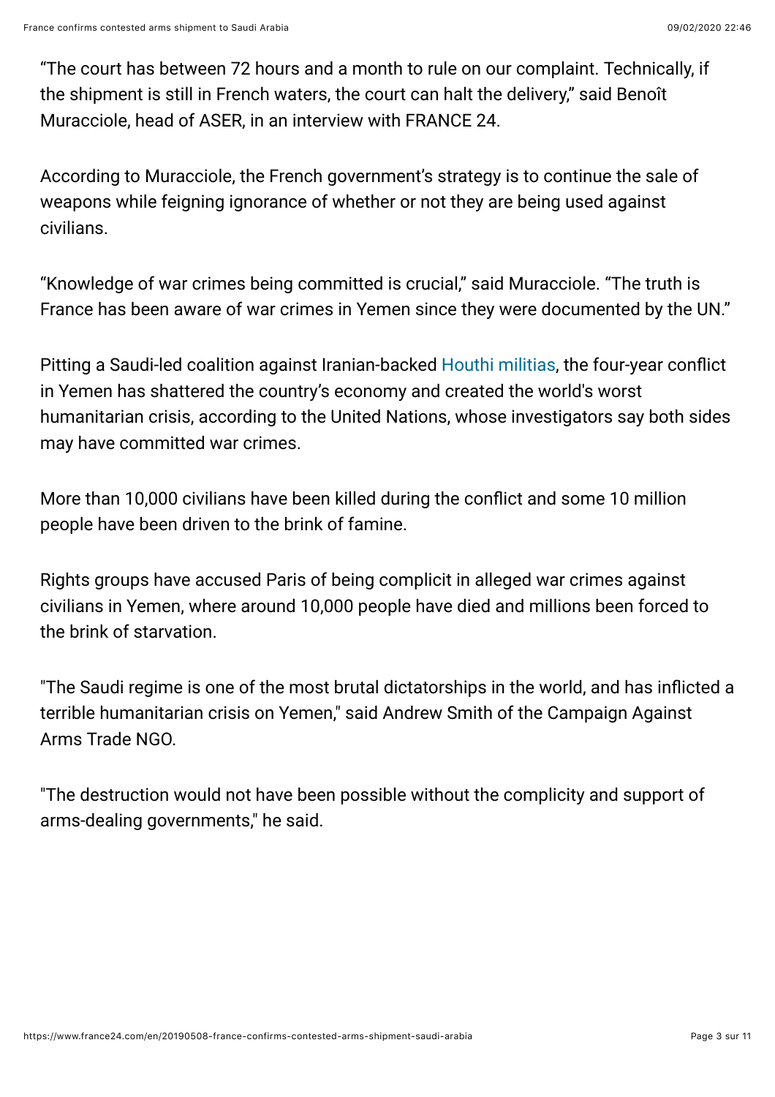"The court has between 72 hours and a month to rule on our complaint. Technically, if the shipment is still in French waters, the court can halt the delivery," said Benoît Muracciole, head of ASER, in an interview with FRANCE 24.

According to Muracciole, the French government's strategy is to continue the sale of weapons while feigning ignorance of whether or not they are being used against civilians.

"Knowledge of war crimes being committed is crucial," said Muracciole. "The truth is France has been aware of war crimes in Yemen since they were documented by the UN."

Pitting a Saudi-led coalition against Iranian-backed [Houthi militias,](https://www.france24.com/en/tag/houthi-rebels/) the four-year conflict in Yemen has shattered the country's economy and created the world's worst humanitarian crisis, according to the United Nations, whose investigators say both sides may have committed war crimes.

More than 10,000 civilians have been killed during the conflict and some 10 million people have been driven to the brink of famine.

Rights groups have accused Paris of being complicit in alleged war crimes against civilians in Yemen, where around 10,000 people have died and millions been forced to the brink of starvation.

"The Saudi regime is one of the most brutal dictatorships in the world, and has inflicted a terrible humanitarian crisis on Yemen," said Andrew Smith of the Campaign Against Arms Trade NGO.

"The destruction would not have been possible without the complicity and support of arms-dealing governments," he said.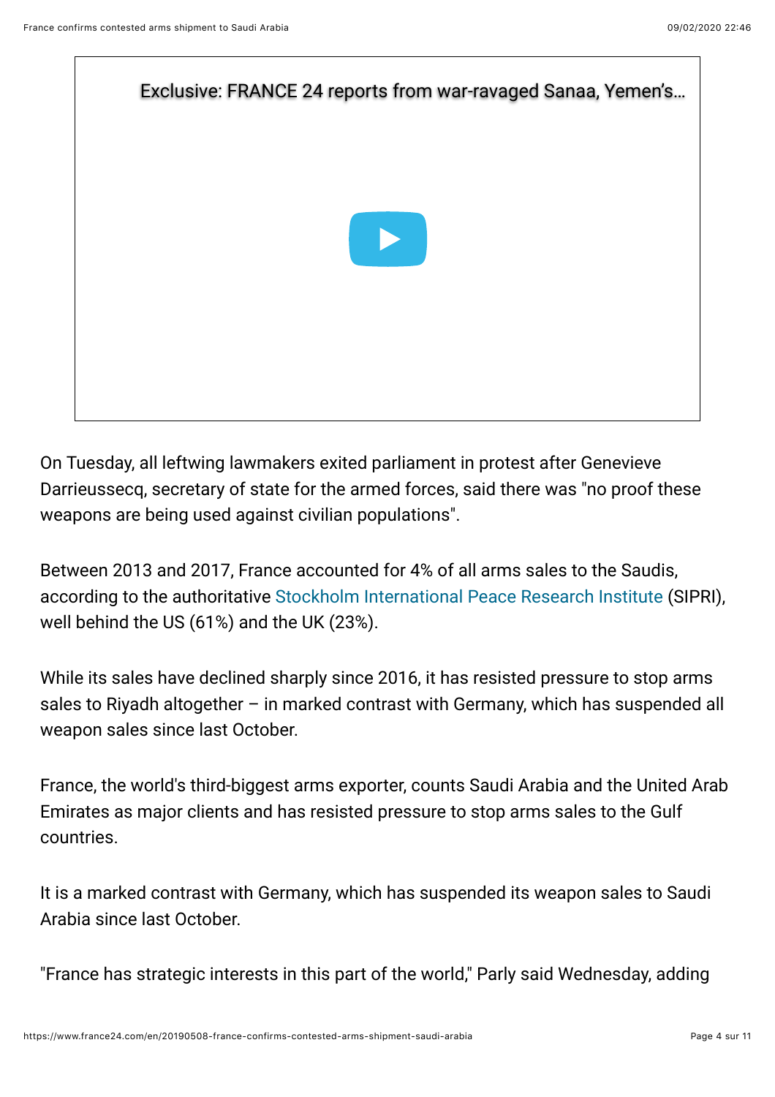

On Tuesday, all leftwing lawmakers exited parliament in protest after Genevieve Darrieussecq, secretary of state for the armed forces, said there was "no proof these weapons are being used against civilian populations".

Between 2013 and 2017, France accounted for 4% of all arms sales to the Saudis, according to the authoritativ[e Stockholm International Peace Research Institute](http://www.sipri.org/) (SIPRI), well behind the US (61%) and the UK (23%).

While its sales have declined sharply since 2016, it has resisted pressure to stop arms sales to Riyadh altogether – in marked contrast with Germany, which has suspended all weapon sales since last October.

France, the world's third-biggest arms exporter, counts Saudi Arabia and the United Arab Emirates as major clients and has resisted pressure to stop arms sales to the Gulf countries.

It is a marked contrast with Germany, which has suspended its weapon sales to Saudi Arabia since last October.

"France has strategic interests in this part of the world," Parly said Wednesday, adding